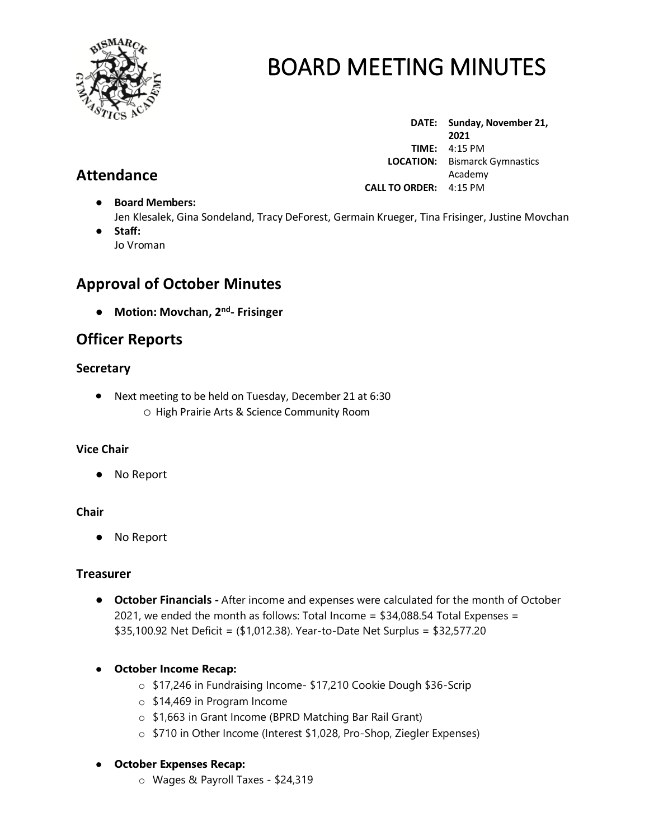

**DATE: Sunday, November 21, 2021 TIME:** 4:15 PM  **LOCATION:** Bismarck Gymnastics Academy **CALL TO ORDER:** 4:15 PM

- **Board Members:** Jen Klesalek, Gina Sondeland, Tracy DeForest, Germain Krueger, Tina Frisinger, Justine Movchan
- **Staff:**  Jo Vroman

## **Approval of October Minutes**

● **Motion: Movchan, 2 nd - Frisinger**

## **Officer Reports**

## **Secretary**

• Next meeting to be held on Tuesday, December 21 at 6:30 o High Prairie Arts & Science Community Room

### **Vice Chair**

No Report

### **Chair**

● No Report

### **Treasurer**

- **October Financials -** After income and expenses were calculated for the month of October 2021, we ended the month as follows: Total Income = \$34,088.54 Total Expenses = \$35,100.92 Net Deficit = (\$1,012.38). Year-to-Date Net Surplus = \$32,577.20
- **October Income Recap:**
	- o \$17,246 in Fundraising Income- \$17,210 Cookie Dough \$36-Scrip
	- o \$14,469 in Program Income
	- o \$1,663 in Grant Income (BPRD Matching Bar Rail Grant)
	- o \$710 in Other Income (Interest \$1,028, Pro-Shop, Ziegler Expenses)

## ● **October Expenses Recap:**

o Wages & Payroll Taxes - \$24,319

## **Attendance**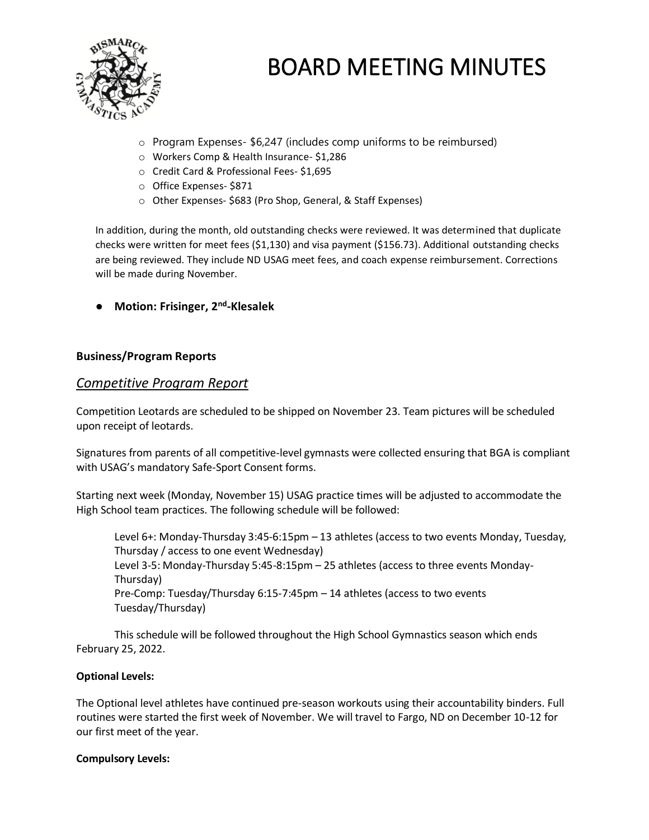

- o Program Expenses- \$6,247 (includes comp uniforms to be reimbursed)
- o Workers Comp & Health Insurance- \$1,286
- o Credit Card & Professional Fees- \$1,695
- o Office Expenses- \$871
- o Other Expenses- \$683 (Pro Shop, General, & Staff Expenses)

In addition, during the month, old outstanding checks were reviewed. It was determined that duplicate checks were written for meet fees (\$1,130) and visa payment (\$156.73). Additional outstanding checks are being reviewed. They include ND USAG meet fees, and coach expense reimbursement. Corrections will be made during November.

● **Motion: Frisinger, 2nd -Klesalek**

### **Business/Program Reports**

### *Competitive Program Report*

Competition Leotards are scheduled to be shipped on November 23. Team pictures will be scheduled upon receipt of leotards.

Signatures from parents of all competitive-level gymnasts were collected ensuring that BGA is compliant with USAG's mandatory Safe-Sport Consent forms.

Starting next week (Monday, November 15) USAG practice times will be adjusted to accommodate the High School team practices. The following schedule will be followed:

Level 6+: Monday-Thursday 3:45-6:15pm – 13 athletes (access to two events Monday, Tuesday, Thursday / access to one event Wednesday) Level 3-5: Monday-Thursday 5:45-8:15pm – 25 athletes (access to three events Monday-Thursday) Pre-Comp: Tuesday/Thursday 6:15-7:45pm – 14 athletes (access to two events Tuesday/Thursday)

This schedule will be followed throughout the High School Gymnastics season which ends February 25, 2022.

### **Optional Levels:**

The Optional level athletes have continued pre-season workouts using their accountability binders. Full routines were started the first week of November. We will travel to Fargo, ND on December 10-12 for our first meet of the year.

### **Compulsory Levels:**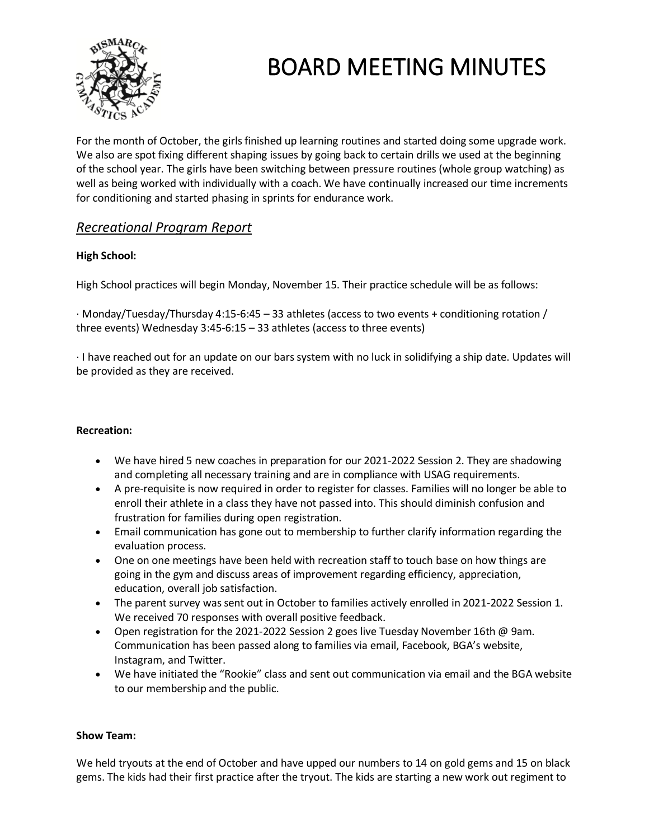

For the month of October, the girls finished up learning routines and started doing some upgrade work. We also are spot fixing different shaping issues by going back to certain drills we used at the beginning of the school year. The girls have been switching between pressure routines (whole group watching) as well as being worked with individually with a coach. We have continually increased our time increments for conditioning and started phasing in sprints for endurance work.

## *Recreational Program Report*

### **High School:**

High School practices will begin Monday, November 15. Their practice schedule will be as follows:

· Monday/Tuesday/Thursday 4:15-6:45 – 33 athletes (access to two events + conditioning rotation / three events) Wednesday 3:45-6:15 – 33 athletes (access to three events)

· I have reached out for an update on our bars system with no luck in solidifying a ship date. Updates will be provided as they are received.

### **Recreation:**

- We have hired 5 new coaches in preparation for our 2021-2022 Session 2. They are shadowing and completing all necessary training and are in compliance with USAG requirements.
- A pre-requisite is now required in order to register for classes. Families will no longer be able to enroll their athlete in a class they have not passed into. This should diminish confusion and frustration for families during open registration.
- Email communication has gone out to membership to further clarify information regarding the evaluation process.
- One on one meetings have been held with recreation staff to touch base on how things are going in the gym and discuss areas of improvement regarding efficiency, appreciation, education, overall job satisfaction.
- The parent survey was sent out in October to families actively enrolled in 2021-2022 Session 1. We received 70 responses with overall positive feedback.
- Open registration for the 2021-2022 Session 2 goes live Tuesday November 16th @ 9am. Communication has been passed along to families via email, Facebook, BGA's website, Instagram, and Twitter.
- We have initiated the "Rookie" class and sent out communication via email and the BGA website to our membership and the public.

### **Show Team:**

We held tryouts at the end of October and have upped our numbers to 14 on gold gems and 15 on black gems. The kids had their first practice after the tryout. The kids are starting a new work out regiment to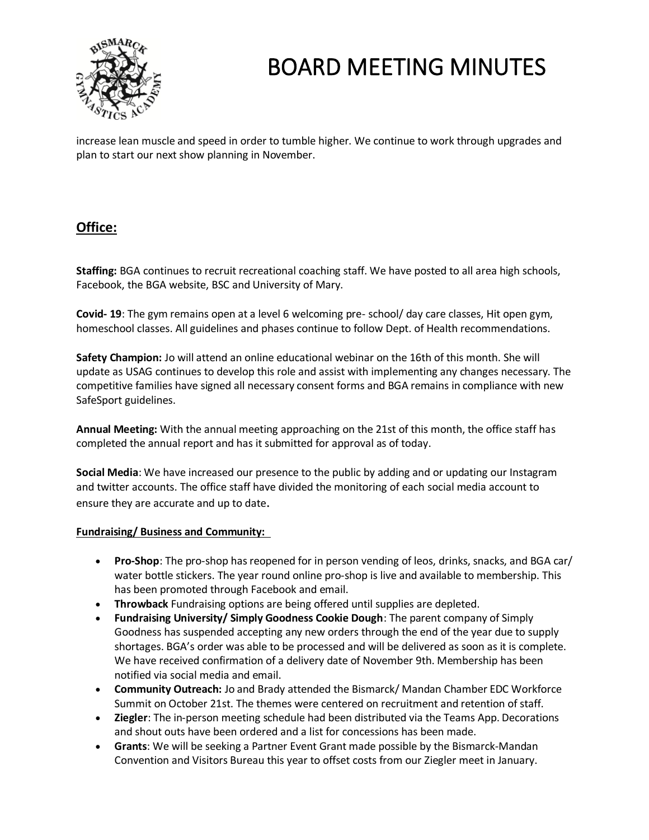

increase lean muscle and speed in order to tumble higher. We continue to work through upgrades and plan to start our next show planning in November.

## **Office:**

**Staffing:** BGA continues to recruit recreational coaching staff. We have posted to all area high schools, Facebook, the BGA website, BSC and University of Mary.

**Covid- 19**: The gym remains open at a level 6 welcoming pre- school/ day care classes, Hit open gym, homeschool classes. All guidelines and phases continue to follow Dept. of Health recommendations.

**Safety Champion:** Jo will attend an online educational webinar on the 16th of this month. She will update as USAG continues to develop this role and assist with implementing any changes necessary. The competitive families have signed all necessary consent forms and BGA remains in compliance with new SafeSport guidelines.

**Annual Meeting:** With the annual meeting approaching on the 21st of this month, the office staff has completed the annual report and has it submitted for approval as of today.

**Social Media**: We have increased our presence to the public by adding and or updating our Instagram and twitter accounts. The office staff have divided the monitoring of each social media account to ensure they are accurate and up to date.

#### **Fundraising/ Business and Community:**

- **Pro-Shop**: The pro-shop has reopened for in person vending of leos, drinks, snacks, and BGA car/ water bottle stickers. The year round online pro-shop is live and available to membership. This has been promoted through Facebook and email.
- **Throwback** Fundraising options are being offered until supplies are depleted.
- **Fundraising University/ Simply Goodness Cookie Dough**: The parent company of Simply Goodness has suspended accepting any new orders through the end of the year due to supply shortages. BGA's order was able to be processed and will be delivered as soon as it is complete. We have received confirmation of a delivery date of November 9th. Membership has been notified via social media and email.
- **Community Outreach:** Jo and Brady attended the Bismarck/ Mandan Chamber EDC Workforce Summit on October 21st. The themes were centered on recruitment and retention of staff.
- **Ziegler**: The in-person meeting schedule had been distributed via the Teams App. Decorations and shout outs have been ordered and a list for concessions has been made.
- **Grants**: We will be seeking a Partner Event Grant made possible by the Bismarck-Mandan Convention and Visitors Bureau this year to offset costs from our Ziegler meet in January.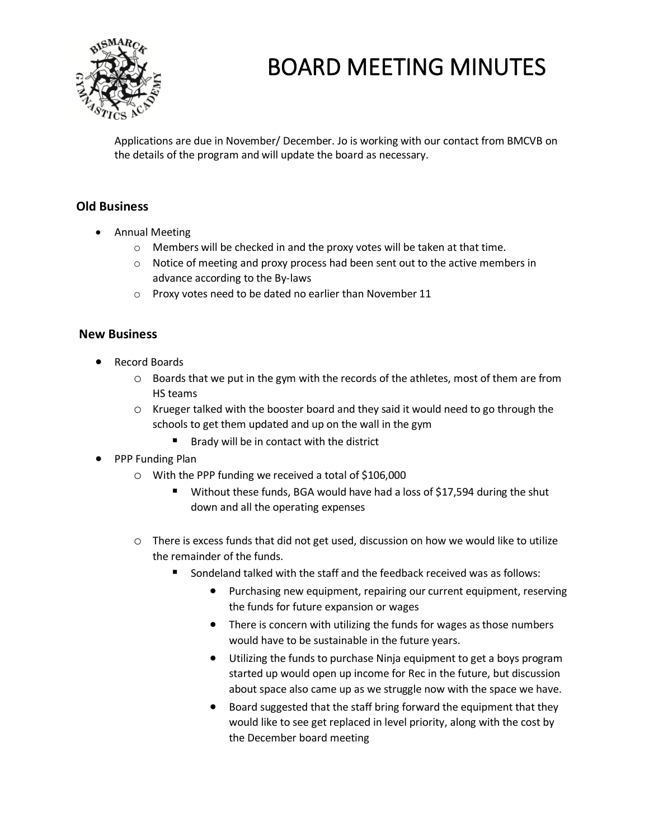

Applications are due in November/ December. Jo is working with our contact from BMCVB on the details of the program and will update the board as necessary.

## **Old Business**

- Annual Meeting
	- o Members will be checked in and the proxy votes will be taken at that time.
	- $\circ$  Notice of meeting and proxy process had been sent out to the active members in advance according to the By-laws
	- o Proxy votes need to be dated no earlier than November 11

## **New Business**

- Record Boards
	- o Boards that we put in the gym with the records of the athletes, most of them are from HS teams
	- $\circ$  Krueger talked with the booster board and they said it would need to go through the schools to get them updated and up on the wall in the gym
		- Brady will be in contact with the district
- PPP Funding Plan
	- o With the PPP funding we received a total of \$106,000
		- Without these funds, BGA would have had a loss of \$17,594 during the shut down and all the operating expenses
	- o There is excess funds that did not get used, discussion on how we would like to utilize the remainder of the funds.
		- Sondeland talked with the staff and the feedback received was as follows:
			- Purchasing new equipment, repairing our current equipment, reserving the funds for future expansion or wages
			- There is concern with utilizing the funds for wages as those numbers would have to be sustainable in the future years.
			- Utilizing the funds to purchase Ninja equipment to get a boys program started up would open up income for Rec in the future, but discussion about space also came up as we struggle now with the space we have.
			- Board suggested that the staff bring forward the equipment that they would like to see get replaced in level priority, along with the cost by the December board meeting